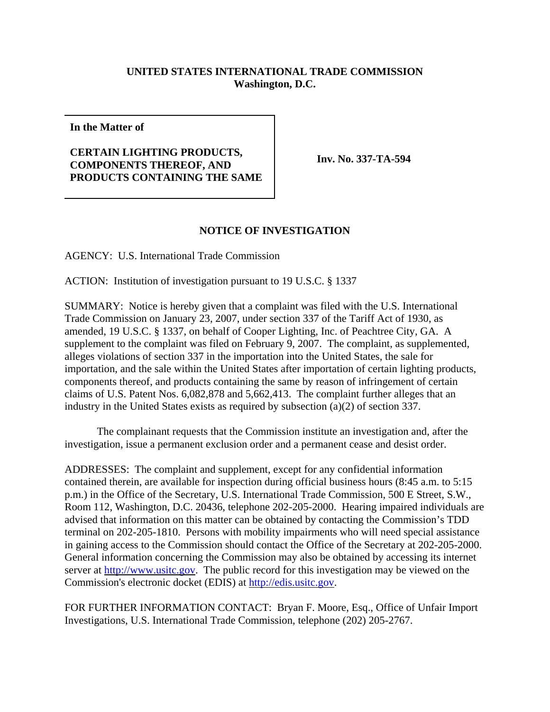## **UNITED STATES INTERNATIONAL TRADE COMMISSION Washington, D.C.**

**In the Matter of**

## **CERTAIN LIGHTING PRODUCTS, COMPONENTS THEREOF, AND PRODUCTS CONTAINING THE SAME**

**Inv. No. 337-TA-594**

## **NOTICE OF INVESTIGATION**

AGENCY: U.S. International Trade Commission

ACTION: Institution of investigation pursuant to 19 U.S.C. § 1337

SUMMARY: Notice is hereby given that a complaint was filed with the U.S. International Trade Commission on January 23, 2007, under section 337 of the Tariff Act of 1930, as amended, 19 U.S.C. § 1337, on behalf of Cooper Lighting, Inc. of Peachtree City, GA. A supplement to the complaint was filed on February 9, 2007. The complaint, as supplemented, alleges violations of section 337 in the importation into the United States, the sale for importation, and the sale within the United States after importation of certain lighting products, components thereof, and products containing the same by reason of infringement of certain claims of U.S. Patent Nos. 6,082,878 and 5,662,413. The complaint further alleges that an industry in the United States exists as required by subsection (a)(2) of section 337.

The complainant requests that the Commission institute an investigation and, after the investigation, issue a permanent exclusion order and a permanent cease and desist order.

ADDRESSES: The complaint and supplement, except for any confidential information contained therein, are available for inspection during official business hours (8:45 a.m. to 5:15 p.m.) in the Office of the Secretary, U.S. International Trade Commission, 500 E Street, S.W., Room 112, Washington, D.C. 20436, telephone 202-205-2000. Hearing impaired individuals are advised that information on this matter can be obtained by contacting the Commission's TDD terminal on 202-205-1810. Persons with mobility impairments who will need special assistance in gaining access to the Commission should contact the Office of the Secretary at 202-205-2000. General information concerning the Commission may also be obtained by accessing its internet server at http://www.usitc.gov. The public record for this investigation may be viewed on the Commission's electronic docket (EDIS) at http://edis.usitc.gov.

FOR FURTHER INFORMATION CONTACT: Bryan F. Moore, Esq., Office of Unfair Import Investigations, U.S. International Trade Commission, telephone (202) 205-2767.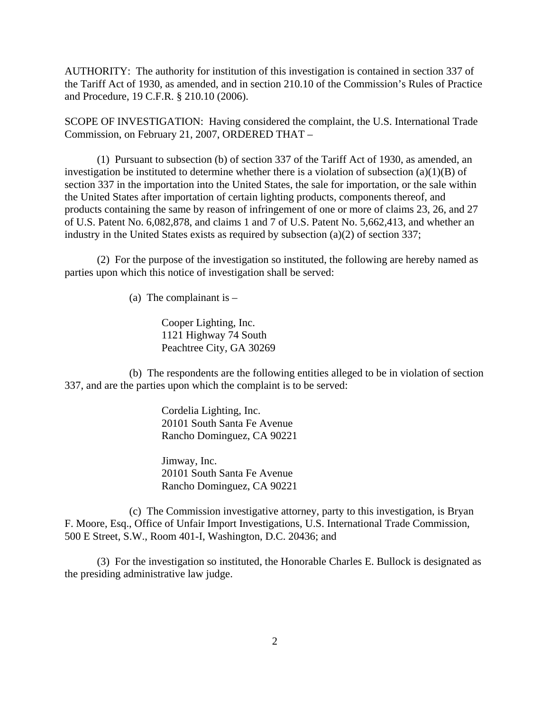AUTHORITY: The authority for institution of this investigation is contained in section 337 of the Tariff Act of 1930, as amended, and in section 210.10 of the Commission's Rules of Practice and Procedure, 19 C.F.R. § 210.10 (2006).

SCOPE OF INVESTIGATION: Having considered the complaint, the U.S. International Trade Commission, on February 21, 2007, ORDERED THAT –

(1) Pursuant to subsection (b) of section 337 of the Tariff Act of 1930, as amended, an investigation be instituted to determine whether there is a violation of subsection  $(a)(1)(B)$  of section 337 in the importation into the United States, the sale for importation, or the sale within the United States after importation of certain lighting products, components thereof, and products containing the same by reason of infringement of one or more of claims 23, 26, and 27 of U.S. Patent No. 6,082,878, and claims 1 and 7 of U.S. Patent No. 5,662,413, and whether an industry in the United States exists as required by subsection (a)(2) of section 337;

(2) For the purpose of the investigation so instituted, the following are hereby named as parties upon which this notice of investigation shall be served:

(a) The complainant is  $-$ 

Cooper Lighting, Inc. 1121 Highway 74 South Peachtree City, GA 30269

(b) The respondents are the following entities alleged to be in violation of section 337, and are the parties upon which the complaint is to be served:

> Cordelia Lighting, Inc. 20101 South Santa Fe Avenue Rancho Dominguez, CA 90221

> Jimway, Inc. 20101 South Santa Fe Avenue Rancho Dominguez, CA 90221

(c) The Commission investigative attorney, party to this investigation, is Bryan F. Moore, Esq., Office of Unfair Import Investigations, U.S. International Trade Commission, 500 E Street, S.W., Room 401-I, Washington, D.C. 20436; and

(3) For the investigation so instituted, the Honorable Charles E. Bullock is designated as the presiding administrative law judge.